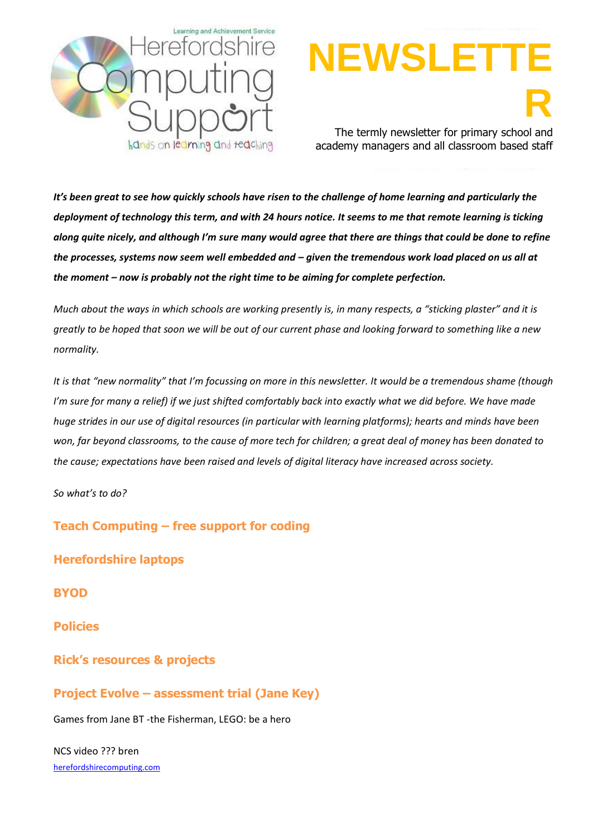

# **NEWSLET R** The termly newsletter for primary school and

academy managers and all classroom based staff

*It's been great to see how quickly schools have risen to the challenge of home learning and particularly the deployment of technology this term, and with 24 hours notice. It seems to me that remote learning is ticking along quite nicely, and although I'm sure many would agree that there are things that could be done to refine the processes, systems now seem well embedded and – given the tremendous work load placed on us all at the moment – now is probably not the right time to be aiming for complete perfection.* 

*Much about the ways in which schools are working presently is, in many respects, a "sticking plaster" and it is greatly to be hoped that soon we will be out of our current phase and looking forward to something like a new normality.*

*It is that "new normality" that I'm focussing on more in this newsletter. It would be a tremendous shame (though I'm sure for many a relief) if we just shifted comfortably back into exactly what we did before. We have made huge strides in our use of digital resources (in particular with learning platforms); hearts and minds have been won, far beyond classrooms, to the cause of more tech for children; a great deal of money has been donated to the cause; expectations have been raised and levels of digital literacy have increased across society.*

*So what's to do?* 

**Teach Computing – free support for coding**

[herefordshirecomputing.com](http://www.herefordshirecomputing.com/) **Herefordshire laptops BYOD Policies Rick's resources & projects Project Evolve – assessment trial (Jane Key)** Games from Jane BT -the Fisherman, LEGO: be a hero NCS video ??? bren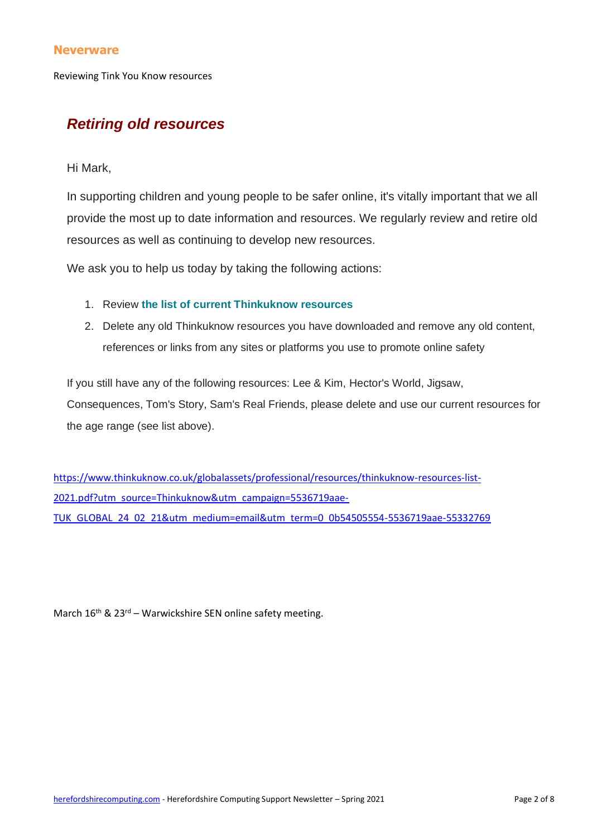#### **Neverware**

Reviewing Tink You Know resources

## *Retiring old resources*

Hi Mark,

In supporting children and young people to be safer online, it's vitally important that we all provide the most up to date information and resources. We regularly review and retire old resources as well as continuing to develop new resources.

We ask you to help us today by taking the following actions:

- 1. Review **the list of [current Thinkuknow resources](https://thinkuknow.us13.list-manage.com/track/click?u=2ae276529dabe14cecc1d261e&id=b8cb368843&e=8850a782df)**
- 2. Delete any old Thinkuknow resources you have downloaded and remove any old content, references or links from any sites or platforms you use to promote online safety

If you still have any of the following resources: Lee & Kim, Hector's World, Jigsaw, Consequences, Tom's Story, Sam's Real Friends, please delete and use our current resources for the age range (see list above).

[https://www.thinkuknow.co.uk/globalassets/professional/resources/thinkuknow-resources-list-](https://www.thinkuknow.co.uk/globalassets/professional/resources/thinkuknow-resources-list-2021.pdf?utm_source=Thinkuknow&utm_campaign=5536719aae-TUK_GLOBAL_24_02_21&utm_medium=email&utm_term=0_0b54505554-5536719aae-55332769)[2021.pdf?utm\\_source=Thinkuknow&utm\\_campaign=5536719aae-](https://www.thinkuknow.co.uk/globalassets/professional/resources/thinkuknow-resources-list-2021.pdf?utm_source=Thinkuknow&utm_campaign=5536719aae-TUK_GLOBAL_24_02_21&utm_medium=email&utm_term=0_0b54505554-5536719aae-55332769)[TUK\\_GLOBAL\\_24\\_02\\_21&utm\\_medium=email&utm\\_term=0\\_0b54505554-5536719aae-55332769](https://www.thinkuknow.co.uk/globalassets/professional/resources/thinkuknow-resources-list-2021.pdf?utm_source=Thinkuknow&utm_campaign=5536719aae-TUK_GLOBAL_24_02_21&utm_medium=email&utm_term=0_0b54505554-5536719aae-55332769)

March  $16^{th}$  &  $23^{rd}$  – Warwickshire SEN online safety meeting.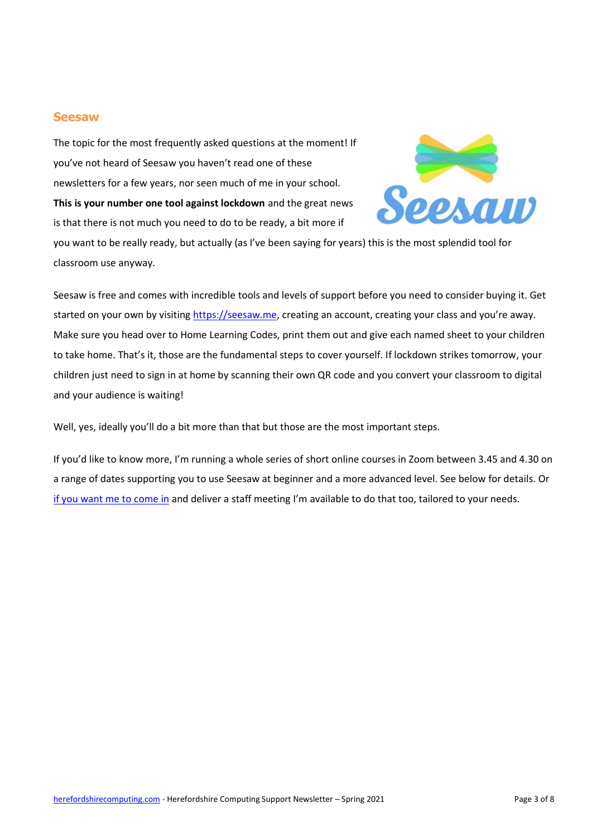#### **Seesaw**

The topic for the most frequently asked questions at the moment! If you've not heard of Seesaw you haven't read one of these newsletters for a few years, nor seen much of me in your school. **This is your number one tool against lockdown** and the great news is that there is not much you need to do to be ready, a bit more if



you want to be really ready, but actually (as I've been saying for years) this is the most splendid tool for classroom use anyway.

Seesaw is free and comes with incredible tools and levels of support before you need to consider buying it. Get started on your own by visiting [https://seesaw.me,](https://seesaw.me/) creating an account, creating your class and you're away. Make sure you head over to Home Learning Codes, print them out and give each named sheet to your children to take home. That's it, those are the fundamental steps to cover yourself. If lockdown strikes tomorrow, your children just need to sign in at home by scanning their own QR code and you convert your classroom to digital and your audience is waiting!

Well, yes, ideally you'll do a bit more than that but those are the most important steps.

If you'd like to know more, I'm running a whole series of short online courses in Zoom between 3.45 and 4.30 on a range of dates supporting you to use Seesaw at beginner and a more advanced level. See below for details. Or [if you want me to come in](mailto:msanderson@herefordshire.gov.uk?subject=Seesaw%20training) and deliver a staff meeting I'm available to do that too, tailored to your needs.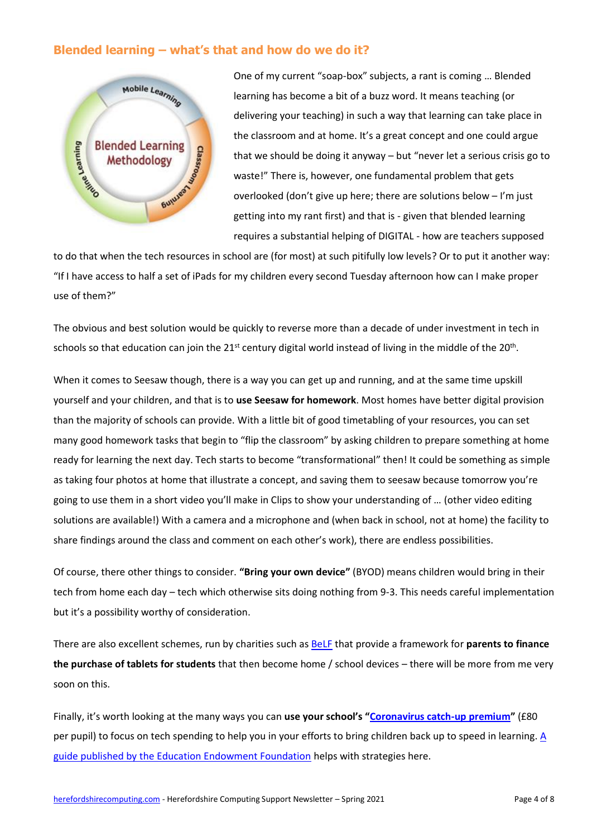## **Blended learning – what's that and how do we do it?**



One of my current "soap-box" subjects, a rant is coming … Blended learning has become a bit of a buzz word. It means teaching (or delivering your teaching) in such a way that learning can take place in the classroom and at home. It's a great concept and one could argue that we should be doing it anyway – but "never let a serious crisis go to waste!" There is, however, one fundamental problem that gets overlooked (don't give up here; there are solutions below – I'm just getting into my rant first) and that is - given that blended learning requires a substantial helping of DIGITAL - how are teachers supposed

to do that when the tech resources in school are (for most) at such pitifully low levels? Or to put it another way: "If I have access to half a set of iPads for my children every second Tuesday afternoon how can I make proper use of them?"

The obvious and best solution would be quickly to reverse more than a decade of under investment in tech in schools so that education can join the 21<sup>st</sup> century digital world instead of living in the middle of the 20<sup>th</sup>.

When it comes to Seesaw though, there is a way you can get up and running, and at the same time upskill yourself and your children, and that is to **use Seesaw for homework**. Most homes have better digital provision than the majority of schools can provide. With a little bit of good timetabling of your resources, you can set many good homework tasks that begin to "flip the classroom" by asking children to prepare something at home ready for learning the next day. Tech starts to become "transformational" then! It could be something as simple as taking four photos at home that illustrate a concept, and saving them to seesaw because tomorrow you're going to use them in a short video you'll make in Clips to show your understanding of … (other video editing solutions are available!) With a camera and a microphone and (when back in school, not at home) the facility to share findings around the class and comment on each other's work), there are endless possibilities.

Of course, there other things to consider. **"Bring your own device"** (BYOD) means children would bring in their tech from home each day – tech which otherwise sits doing nothing from 9-3. This needs careful implementation but it's a possibility worthy of consideration.

There are also excellent schemes, run by charities such as [BeLF](https://www.belf.org.uk/) that provide a framework for **parents to finance the purchase of tablets for students** that then become home / school devices – there will be more from me very soon on this.

Finally, it's worth looking at the many ways you can **use your school's "[Coronavirus catch-up premium](https://www.gov.uk/guidance/coronavirus-covid-19-catch-up-premium)"** (£80 per pupil) to focus on tech spending to help you in your efforts to bring children back up to speed in learning. A [guide published by the Education Endowment Foundation](https://educationendowmentfoundation.org.uk/public/files/Publications/Covid-19_Resources/Covid-19_support_guide_for_schools.pdf) helps with strategies here.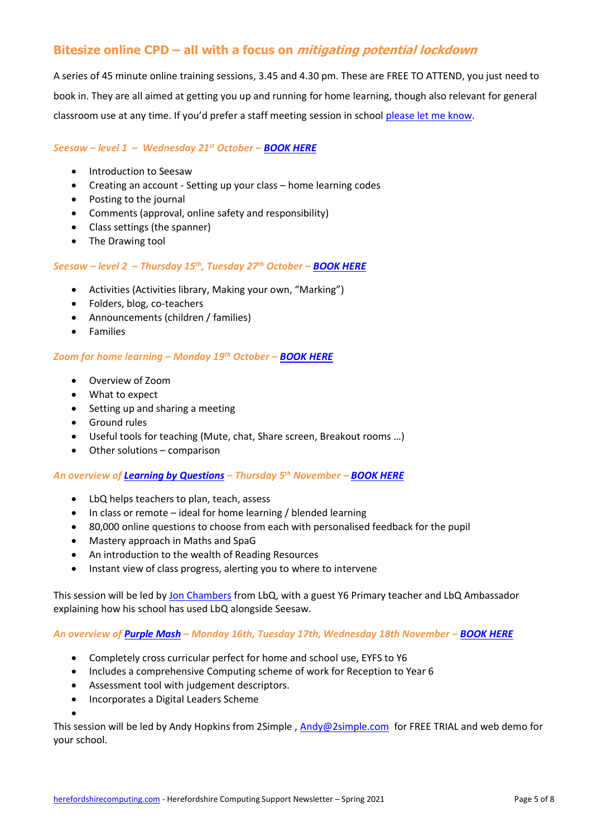## **Bitesize online CPD – all with a focus on mitigating potential lockdown**

A series of 45 minute online training sessions, 3.45 and 4.30 pm. These are FREE TO ATTEND, you just need to book in. They are all aimed at getting you up and running for home learning, though also relevant for general classroom use at any time. If you'd prefer a staff meeting session in school [please let me know.](mailto:msanderson@herefordshire.gov.uk?subject=Lockdown%20CPD)

#### *Seesaw – level 1 – Wednesday 21st October – [BOOK HERE](https://docs.google.com/forms/d/e/1FAIpQLSfMWEv36p3VXSTfiZ4QKHgVx3pSuQZCdUtzC-FWQ8r8zrFPbQ/viewform?usp=sf_link)*

- Introduction to Seesaw
- Creating an account Setting up your class home learning codes
- Posting to the journal
- Comments (approval, online safety and responsibility)
- Class settings (the spanner)
- The Drawing tool

#### *Seesaw – level 2 – Thursday 15th, Tuesday 27th October – [BOOK HERE](https://docs.google.com/forms/d/e/1FAIpQLSeE9fMPv8wwC79PGMGD8IqAmx8K9-870ulIn1O69QbUyKYIZA/viewform?usp=sf_link)*

- Activities (Activities library, Making your own, "Marking")
- Folders, blog, co-teachers
- Announcements (children / families)
- Families

#### *Zoom for home learning – Monday 19th October – [BOOK HERE](https://docs.google.com/forms/d/e/1FAIpQLSdzxazJiswDTYcnslVddPWHqaco6nPw23Cnt8AAadP0tOIfzw/viewform?usp=sf_link)*

- Overview of Zoom
- What to expect
- Setting up and sharing a meeting
- Ground rules
- Useful tools for teaching (Mute, chat, Share screen, Breakout rooms …)
- Other solutions comparison

#### *An overview of [Learning by Questions](https://www.lbq.org/PrimaryCatchUp?fromsite=true) – Thursday 5th November – [BOOK HERE](https://docs.google.com/forms/d/e/1FAIpQLSedaIXnQ08MDik5V7o-SUBrta9ElyIOJY_Xu_zsol05ZB7sTw/viewform?usp=sf_link)*

- LbQ helps teachers to plan, teach, assess
- In class or remote ideal for home learning / blended learning
- 80,000 online questions to choose from each with personalised feedback for the pupil
- Mastery approach in Maths and SpaG
- An introduction to the wealth of Reading Resources
- Instant view of class progress, alerting you to where to intervene

This session will be led by [Jon Chambers](mailto:j.chambers@lbq.org) from LbQ, with a guest Y6 Primary teacher and LbQ Ambassador explaining how his school has used LbQ alongside Seesaw.

#### *An overview of [Purple Mash](https://2simple.com/blog/purple-mash-blended-learning/?fbclid=IwAR3Pq4VhBq0NYRD6_OLIGvkEJvXtaPQ-AouYcNJ9p0PmBhe14izD6KV8qNU) – Monday 16th, Tuesday 17th, Wednesday 18th November – [BOOK HERE](https://docs.google.com/forms/d/e/1FAIpQLScrtYl6Ywujy8NNAf48zlxqb4EFgXX9puV96Z8PYNat0DGy-A/viewform?usp=sf_link)*

- Completely cross curricular perfect for home and school use, EYFS to Y6
- Includes a comprehensive Computing scheme of work for Reception to Year 6
- Assessment tool with judgement descriptors.
- Incorporates a Digital Leaders Scheme

•

This session will be led by Andy Hopkins from 2Simple, [Andy@2simple.com](mailto:Andy@2simple.com) for FREE TRIAL and web demo for your school.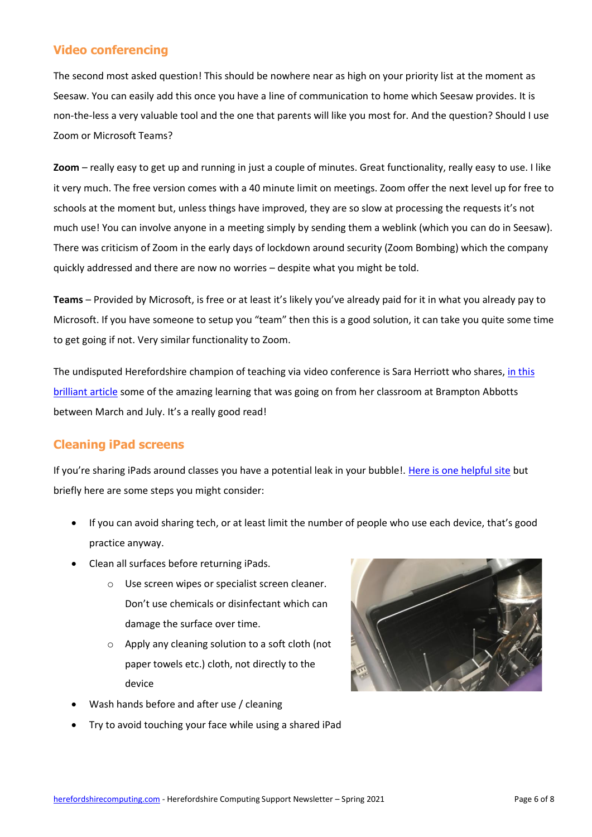## **Video conferencing**

The second most asked question! This should be nowhere near as high on your priority list at the moment as Seesaw. You can easily add this once you have a line of communication to home which Seesaw provides. It is non-the-less a very valuable tool and the one that parents will like you most for. And the question? Should I use Zoom or Microsoft Teams?

**Zoom** – really easy to get up and running in just a couple of minutes. Great functionality, really easy to use. I like it very much. The free version comes with a 40 minute limit on meetings. Zoom offer the next level up for free to schools at the moment but, unless things have improved, they are so slow at processing the requests it's not much use! You can involve anyone in a meeting simply by sending them a weblink (which you can do in Seesaw). There was criticism of Zoom in the early days of lockdown around security (Zoom Bombing) which the company quickly addressed and there are now no worries – despite what you might be told.

**Teams** – Provided by Microsoft, is free or at least it's likely you've already paid for it in what you already pay to Microsoft. If you have someone to setup you "team" then this is a good solution, it can take you quite some time to get going if not. Very similar functionality to Zoom.

The undisputed Herefordshire champion of teaching via video conference is Sara Herriott who shares, in this [brilliant article](https://herefordshirecis.files.wordpress.com/2020/06/zoomschool-at-brampton-abbotts.pdf) some of the amazing learning that was going on from her classroom at Brampton Abbotts between March and July. It's a really good read!

## **Cleaning iPad screens**

If you're sharing iPads around classes you have a potential leak in your bubble!. [Here is one helpful site](https://natomasunified.org/kb/tips-on-cleaning-and-disinfecting-your-technology/) but briefly here are some steps you might consider:

- If you can avoid sharing tech, or at least limit the number of people who use each device, that's good practice anyway.
- Clean all surfaces before returning iPads.
	- o Use screen wipes or specialist screen cleaner. Don't use chemicals or disinfectant which can damage the surface over time.
	- o Apply any cleaning solution to a soft cloth (not paper towels etc.) cloth, not directly to the device
- Wash hands before and after use / cleaning
- Try to avoid touching your face while using a shared iPad

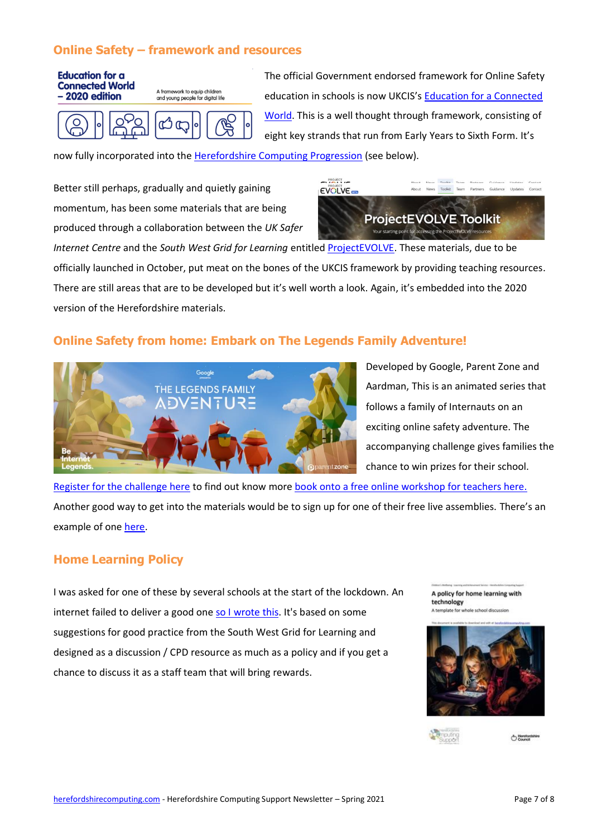## **Online Safety – framework and resources**



The official Government endorsed framework for Online Safety education in schools is now UKCIS's [Education for a Connected](https://assets.publishing.service.gov.uk/government/uploads/system/uploads/attachment_data/file/896323/UKCIS_Education_for_a_Connected_World_.pdf)  [World.](https://assets.publishing.service.gov.uk/government/uploads/system/uploads/attachment_data/file/896323/UKCIS_Education_for_a_Connected_World_.pdf) This is a well thought through framework, consisting of eight key strands that run from Early Years to Sixth Form. It's

now fully incorporated into the [Herefordshire Computing Progression](https://herefordshirecomputing.com/computing-progression/) (see below).

Better still perhaps, gradually and quietly gaining momentum, has been some materials that are being produced through a collaboration between the *UK Safer* 



*Internet Centre* and the *South West Grid for Learning* entitle[d ProjectEVOLVE.](https://projectevolve.co.uk/toolkit/) These materials, due to be officially launched in October, put meat on the bones of the UKCIS framework by providing teaching resources. There are still areas that are to be developed but it's well worth a look. Again, it's embedded into the 2020 version of the Herefordshire materials.

## **Online Safety from home: Embark on The Legends Family Adventure!**



Developed by Google, Parent Zone and Aardman, This is an animated series that follows a family of Internauts on an exciting online safety adventure. The accompanying challenge gives families the chance to win prizes for their school.

[Register for the challenge here](https://parentzone.us3.list-manage.com/track/click?u=bd227427019036d582c40c448&id=2700fedcc9&e=2c2e7b9730) to find out know more [book onto a free online workshop for teachers here.](https://parentzone.org.uk/be-internet-legends-online-teacher-workshops) Another good way to get into the materials would be to sign up for one of their free live assemblies. There's an example of one [here.](https://www.penpolschool.co.uk/2020/05/04/world-first-as-penpol-get-a-be-internet-legends-virtual-assembly/)

### **Home Learning Policy**

I was asked for one of these by several schools at the start of the lockdown. An internet failed to deliver a good one [so I wrote this.](https://herefordshirecomputing.com/home-education/) It's based on some suggestions for good practice from the South West Grid for Learning and designed as a discussion / CPD resource as much as a policy and if you get a chance to discuss it as a staff team that will bring rewards.

A policy for home learning with technology A template for whole school discussion



A Herefords